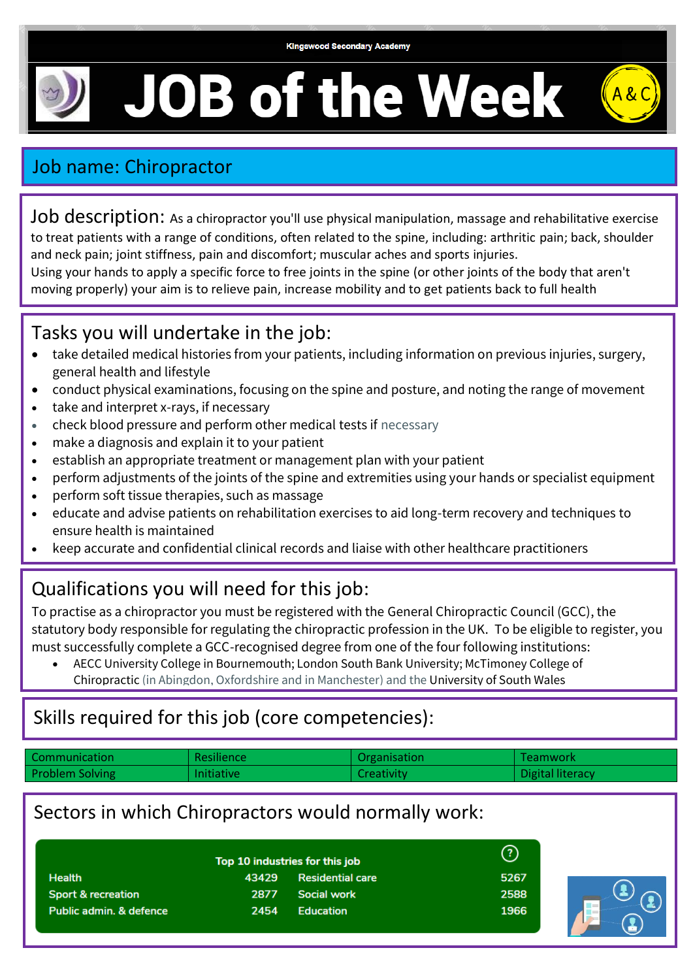# **JOB of the Week**



# Job name: Chiropractor

Job description: As a chiropractor you'll use physical manipulation, massage and rehabilitative exercise to treat patients with a range of conditions, often related to the spine, including: arthritic pain; back, shoulder and neck pain; joint stiffness, pain and discomfort; muscular aches and sports injuries.

Using your hands to apply a specific force to free joints in the spine (or other joints of the body that aren't moving properly) your aim is to relieve pain, increase mobility and to get patients back to full health

### Tasks you will undertake in the job:

- take detailed medical histories from your patients, including information on previous injuries, surgery, general health and lifestyle
- conduct physical examinations, focusing on the spine and posture, and noting the range of movement
- take and interpret x-rays, if necessary
- check blood pressure and perform other medical tests if necessary
- make a diagnosis and explain it to your patient
- establish an appropriate treatment or management plan with your patient
- perform adjustments of the joints of the spine and extremities using your hands or specialist equipment
- perform soft tissue therapies, such as massage
- educate and advise patients on rehabilitation exercises to aid long-term recovery and techniques to ensure health is maintained
- keep accurate and confidential clinical records and liaise with other healthcare practitioners

## Qualifications you will need for this job:

To practise as a chiropractor you must be registered with the [General Chiropractic Council \(GCC\),](http://www.gcc-uk.org/) the statutory body responsible for regulating the chiropractic profession in the UK. To be eligible to register, you must successfully complete a GCC-recognised degree from one of the four following institutions:

• [AECC University College](https://www.aecc.ac.uk/undergraduate-courses/masters-in-chiropractic-mchiro-hons/) in Bournemouth[; London South Bank University;](https://www.lsbu.ac.uk/) [McTimoney College of](http://www.mctimoney-college.ac.uk/)  [Chiropractic](http://www.mctimoney-college.ac.uk/) (in Abingdon, Oxfordshire and in Manchester) and the [University of South Wales](http://www.southwales.ac.uk/)

## Skills required for this job (core competencies):

| Communication          | Resilience        | Organisation | Teamwork         |
|------------------------|-------------------|--------------|------------------|
| <b>Problem Solving</b> | <b>Initiative</b> | Creativity   | Digital literacy |

#### Sectors in which Chiropractors would normally work:

Top 10 industries for this job **Health** 43429 **Residential care Sport & recreation** 2877 **Social work** Public admin. & defence 2454 **Education**